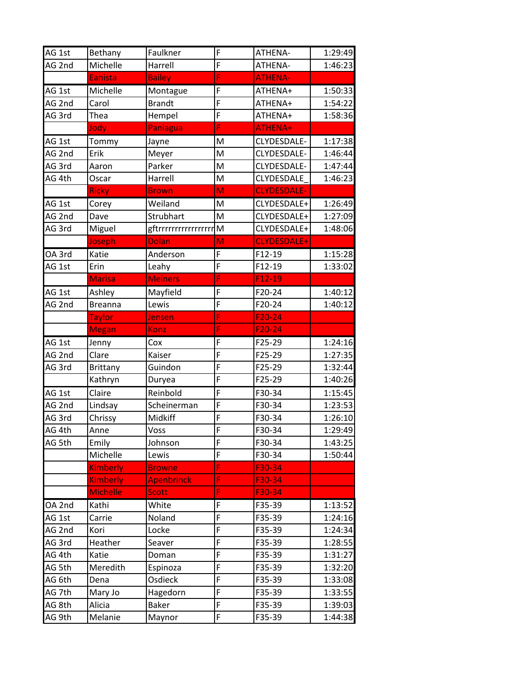| AG 1st | Bethany         | Faulkner              | F              | ATHENA-            | 1:29:49 |
|--------|-----------------|-----------------------|----------------|--------------------|---------|
| AG 2nd | Michelle        | Harrell               | F              | ATHENA-            | 1:46:23 |
|        | <b>Eanista</b>  | <b>Bailey</b>         | F              | <b>ATHENA-</b>     |         |
| AG 1st | Michelle        | Montague              | F              | ATHENA+            | 1:50:33 |
| AG 2nd | Carol           | <b>Brandt</b>         | F              | ATHENA+            | 1:54:22 |
| AG 3rd | Thea            | Hempel                | F              | ATHENA+            | 1:58:36 |
|        | Jody            | <b>Paniagua</b>       | Ë              | ATHENA+            |         |
| AG 1st | Tommy           | Jayne                 | M              | CLYDESDALE-        | 1:17:38 |
| AG 2nd | Erik            | Meyer                 | M              | CLYDESDALE-        | 1:46:44 |
| AG 3rd | Aaron           | Parker                | M              | CLYDESDALE-        | 1:47:44 |
| AG 4th | Oscar           | Harrell               | M              | CLYDESDALE         | 1:46:23 |
|        | <b>Ricky</b>    | <b>Brown</b>          | M              | <b>CLYDESDALE-</b> |         |
| AG 1st | Corey           | Weiland               | M              | CLYDESDALE+        | 1:26:49 |
| AG 2nd | Dave            | Strubhart             | M              | CLYDESDALE+        | 1:27:09 |
| AG 3rd | Miguel          | gftrrrrrrrrrrrrrrrrrr | M              | CLYDESDALE+        | 1:48:06 |
|        | Joseph          | <b>Dolan</b>          | M              | <b>CLYDESDALE+</b> |         |
| OA 3rd | Katie           | Anderson              | F              | F12-19             | 1:15:28 |
| AG 1st | Erin            | Leahy                 | $\overline{F}$ | F12-19             | 1:33:02 |
|        | <b>Marisa</b>   | <b>Meiners</b>        | F              | $F12-19$           |         |
| AG 1st | Ashley          | Mayfield              | F              | F20-24             | 1:40:12 |
| AG 2nd | <b>Breanna</b>  | Lewis                 | F              | F20-24             | 1:40:12 |
|        | <b>Taylor</b>   | Jensen                | F              | $F20-24$           |         |
|        | <b>Megan</b>    | Konz                  | F              | $F20-24$           |         |
| AG 1st | Jenny           | Cox                   | F              | F25-29             | 1:24:16 |
| AG 2nd | Clare           | Kaiser                | $\overline{F}$ | F25-29             | 1:27:35 |
| AG 3rd | <b>Brittany</b> | Guindon               | F              | F25-29             | 1:32:44 |
|        | Kathryn         | Duryea                | $\overline{F}$ | F25-29             | 1:40:26 |
| AG 1st | Claire          | Reinbold              | F              | F30-34             | 1:15:45 |
| AG 2nd | Lindsay         | Scheinerman           | F              | F30-34             | 1:23:53 |
| AG 3rd | Chrissy         | Midkiff               | F              | F30-34             | 1:26:10 |
| AG 4th | Anne            | Voss                  | F              | F30-34             | 1:29:49 |
| AG 5th | Emily           | Johnson               | F              | F30-34             | 1:43:25 |
|        | Michelle        | Lewis                 | F              | F30-34             | 1:50:44 |
|        | <b>Kimberly</b> | <b>Browne</b>         | F              | F30-34             |         |
|        | <b>Kimberly</b> | <b>Apenbrinck</b>     | F              | F30-34             |         |
|        | <b>Michelle</b> | <b>Scott</b>          | F              | F30-34             |         |
| OA 2nd | Kathi           | White                 | F              | F35-39             | 1:13:52 |
| AG 1st | Carrie          | Noland                | F              | F35-39             | 1:24:16 |
| AG 2nd | Kori            | Locke                 | F              | F35-39             | 1:24:34 |
| AG 3rd | Heather         | Seaver                | F              | F35-39             | 1:28:55 |
| AG 4th | Katie           | Doman                 | F              | F35-39             | 1:31:27 |
| AG 5th | Meredith        | Espinoza              | F              | F35-39             | 1:32:20 |
| AG 6th | Dena            | Osdieck               | F              | F35-39             | 1:33:08 |
| AG 7th | Mary Jo         | Hagedorn              | F              | F35-39             | 1:33:55 |
| AG 8th | Alicia          | <b>Baker</b>          | F              | F35-39             | 1:39:03 |
| AG 9th | Melanie         | Maynor                | F              | F35-39             | 1:44:38 |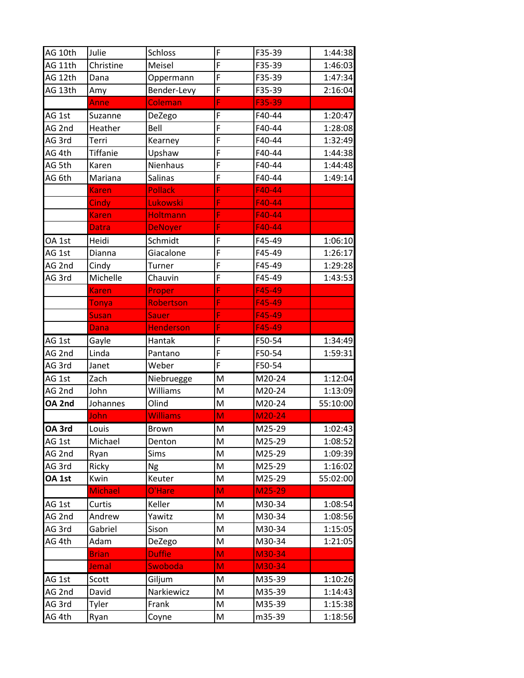| AG 10th | Julie           | <b>Schloss</b>   | F              | F35-39 | 1:44:38  |
|---------|-----------------|------------------|----------------|--------|----------|
| AG 11th | Christine       | Meisel           | F              | F35-39 | 1:46:03  |
| AG 12th | Dana            | Oppermann        | F              | F35-39 | 1:47:34  |
| AG 13th | Amy             | Bender-Levy      | F              | F35-39 | 2:16:04  |
|         | Anne            | Coleman          | F              | F35-39 |          |
| AG 1st  | Suzanne         | DeZego           | F              | F40-44 | 1:20:47  |
| AG 2nd  | Heather         | Bell             | F              | F40-44 | 1:28:08  |
| AG 3rd  | Terri           | Kearney          | F              | F40-44 | 1:32:49  |
| AG 4th  | <b>Tiffanie</b> | Upshaw           | F              | F40-44 | 1:44:38  |
| AG 5th  | Karen           | Nienhaus         | F              | F40-44 | 1:44:48  |
| AG 6th  | Mariana         | Salinas          | F              | F40-44 | 1:49:14  |
|         | <b>Karen</b>    | <b>Pollack</b>   | F              | F40-44 |          |
|         | <b>Cindy</b>    | Lukowski         | Ë              | F40-44 |          |
|         | <b>Karen</b>    | <b>Holtmann</b>  | F              | F40-44 |          |
|         | <b>Datra</b>    | <b>DeNoyer</b>   | F              | F40-44 |          |
| OA 1st  | Heidi           | Schmidt          | F              | F45-49 | 1:06:10  |
| AG 1st  | Dianna          | Giacalone        | F              | F45-49 | 1:26:17  |
| AG 2nd  | Cindy           | Turner           | F              | F45-49 | 1:29:28  |
| AG 3rd  | Michelle        | Chauvin          | $\overline{F}$ | F45-49 | 1:43:53  |
|         | <b>Karen</b>    | Proper           | F              | F45-49 |          |
|         | Tonya           | Robertson        | F              | F45-49 |          |
|         | <b>Susan</b>    | <b>Sauer</b>     | F              | F45-49 |          |
|         | Dana            | <b>Henderson</b> | F              | F45-49 |          |
| AG 1st  | Gayle           | Hantak           | F              | F50-54 | 1:34:49  |
| AG 2nd  | Linda           | Pantano          | F              | F50-54 | 1:59:31  |
| AG 3rd  | Janet           | Weber            | $\overline{F}$ | F50-54 |          |
| AG 1st  | Zach            | Niebruegge       | M              | M20-24 | 1:12:04  |
| AG 2nd  | John            | Williams         | M              | M20-24 | 1:13:09  |
| OA 2nd  | Johannes        | Olind            | M              | M20-24 | 55:10:00 |
|         | John            | <b>Williams</b>  | M              | M20-24 |          |
| OA 3rd  | Louis           | Brown            | M              | M25-29 | 1:02:43  |
| AG 1st  | Michael         | Denton           | M              | M25-29 | 1:08:52  |
| AG 2nd  | Ryan            | Sims             | M              | M25-29 | 1:09:39  |
| AG 3rd  | Ricky           | Ng               | M              | M25-29 | 1:16:02  |
| OA 1st  | Kwin            | Keuter           | M              | M25-29 | 55:02:00 |
|         | <b>Michael</b>  | O'Hare           | M              | M25-29 |          |
| AG 1st  | Curtis          | Keller           | M              | M30-34 | 1:08:54  |
| AG 2nd  | Andrew          | Yawitz           | M              | M30-34 | 1:08:56  |
| AG 3rd  | Gabriel         | Sison            | M              | M30-34 | 1:15:05  |
| AG 4th  | Adam            | DeZego           | M              | M30-34 | 1:21:05  |
|         | <b>Brian</b>    | <b>Duffie</b>    | M              | M30-34 |          |
|         | Jemal           | Swoboda          | M              | M30-34 |          |
| AG 1st  | Scott           | Giljum           | M              | M35-39 | 1:10:26  |
| AG 2nd  | David           | Narkiewicz       | M              | M35-39 | 1:14:43  |
| AG 3rd  | Tyler           | Frank            | M              | M35-39 | 1:15:38  |
| AG 4th  | Ryan            | Coyne            | M              | m35-39 | 1:18:56  |